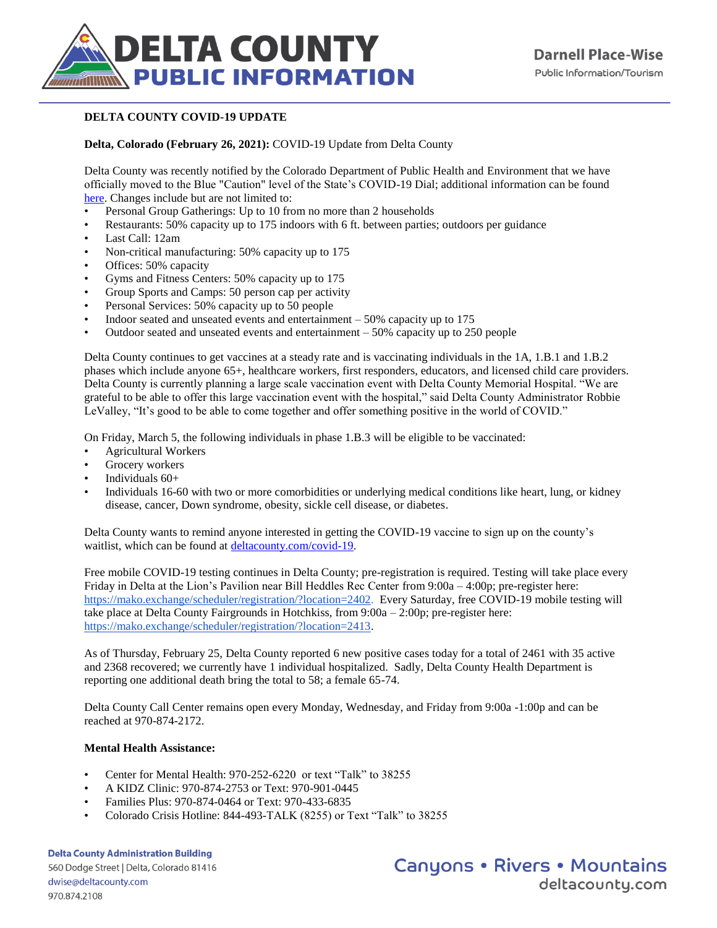

## **DELTA COUNTY COVID-19 UPDATE**

## **Delta, Colorado (February 26, 2021):** COVID-19 Update from Delta County

Delta County was recently notified by the Colorado Department of Public Health and Environment that we have officially moved to the Blue "Caution" level of the State's COVID-19 Dial; additional information can be found [here.](https://covid19.colorado.gov/covid-19-dial) Changes include but are not limited to:

- Personal Group Gatherings: Up to 10 from no more than 2 households
- Restaurants: 50% capacity up to 175 indoors with 6 ft. between parties; outdoors per guidance
- Last Call: 12am
- Non-critical manufacturing: 50% capacity up to 175
- Offices: 50% capacity
- Gyms and Fitness Centers: 50% capacity up to 175
- Group Sports and Camps: 50 person cap per activity
- Personal Services: 50% capacity up to 50 people
- Indoor seated and unseated events and entertainment  $-50\%$  capacity up to 175
- Outdoor seated and unseated events and entertainment  $-50\%$  capacity up to 250 people

Delta County continues to get vaccines at a steady rate and is vaccinating individuals in the 1A, 1.B.1 and 1.B.2 phases which include anyone 65+, healthcare workers, first responders, educators, and licensed child care providers. Delta County is currently planning a large scale vaccination event with Delta County Memorial Hospital. "We are grateful to be able to offer this large vaccination event with the hospital," said Delta County Administrator Robbie LeValley, "It's good to be able to come together and offer something positive in the world of COVID."

On Friday, March 5, the following individuals in phase 1.B.3 will be eligible to be vaccinated:

- Agricultural Workers
- Grocery workers
- Individuals 60+
- Individuals 16-60 with two or more comorbidities or underlying medical conditions like heart, lung, or kidney disease, cancer, Down syndrome, obesity, sickle cell disease, or diabetes.

Delta County wants to remind anyone interested in getting the COVID-19 vaccine to sign up on the county's waitlist, which can be found at [deltacounty.com/covid-19.](http://www.deltacounty.com/COVID-19)

Free mobile COVID-19 testing continues in Delta County; pre-registration is required. Testing will take place every Friday in Delta at the Lion's Pavilion near Bill Heddles Rec Center from 9:00a – 4:00p; pre-register here: [https://mako.exchange/scheduler/registration/?location=2402.](https://mako.exchange/scheduler/registration/?location=2402) Every Saturday, free COVID-19 mobile testing will take place at Delta County Fairgrounds in Hotchkiss, from 9:00a – 2:00p; pre-register here: [https://mako.exchange/scheduler/registration/?location=2413.](https://mako.exchange/scheduler/registration/?location=2413)

As of Thursday, February 25, Delta County reported 6 new positive cases today for a total of 2461 with 35 active and 2368 recovered; we currently have 1 individual hospitalized. Sadly, Delta County Health Department is reporting one additional death bring the total to 58; a female 65-74.

Delta County Call Center remains open every Monday, Wednesday, and Friday from 9:00a -1:00p and can be reached at 970-874-2172.

## **Mental Health Assistance:**

- Center for Mental Health: 970-252-6220 or text "Talk" to 38255
- A KIDZ Clinic: 970-874-2753 or Text: 970-901-0445
- Families Plus: 970-874-0464 or Text: 970-433-6835
- Colorado Crisis Hotline: 844-493-TALK (8255) or Text "Talk" to 38255

**Delta County Administration Building** 560 Dodge Street | Delta, Colorado 81416 dwise@deltacounty.com 970.874.2108

**Canyons • Rivers • Mountains** deltacountu.com